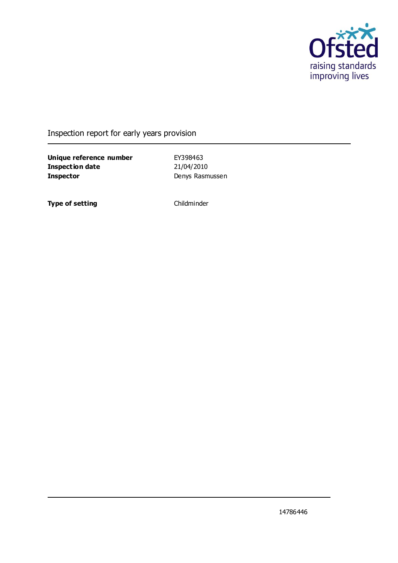

Inspection report for early years provision

**Unique reference number** EY398463 **Inspection date** 21/04/2010 **Inspector** Denys Rasmussen

**Type of setting** Childminder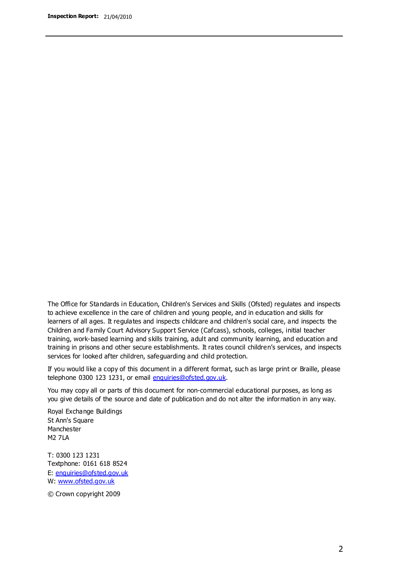The Office for Standards in Education, Children's Services and Skills (Ofsted) regulates and inspects to achieve excellence in the care of children and young people, and in education and skills for learners of all ages. It regulates and inspects childcare and children's social care, and inspects the Children and Family Court Advisory Support Service (Cafcass), schools, colleges, initial teacher training, work-based learning and skills training, adult and community learning, and education and training in prisons and other secure establishments. It rates council children's services, and inspects services for looked after children, safeguarding and child protection.

If you would like a copy of this document in a different format, such as large print or Braille, please telephone 0300 123 1231, or email enquiries@ofsted.gov.uk.

You may copy all or parts of this document for non-commercial educational purposes, as long as you give details of the source and date of publication and do not alter the information in any way.

Royal Exchange Buildings St Ann's Square Manchester M2 7LA

T: 0300 123 1231 Textphone: 0161 618 8524 E: enquiries@ofsted.gov.uk W: [www.ofsted.gov.uk](http://www.ofsted.gov.uk/)

© Crown copyright 2009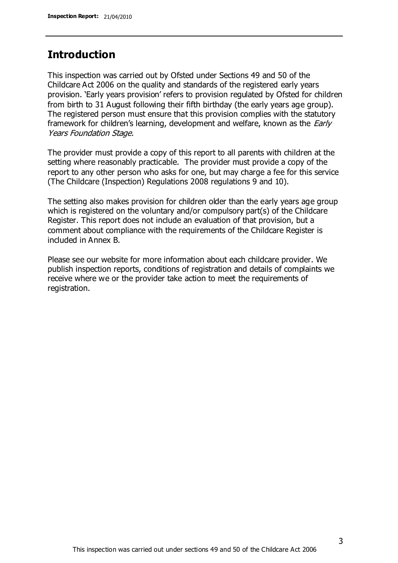## **Introduction**

This inspection was carried out by Ofsted under Sections 49 and 50 of the Childcare Act 2006 on the quality and standards of the registered early years provision. 'Early years provision' refers to provision regulated by Ofsted for children from birth to 31 August following their fifth birthday (the early years age group). The registered person must ensure that this provision complies with the statutory framework for children's learning, development and welfare, known as the *Early* Years Foundation Stage.

The provider must provide a copy of this report to all parents with children at the setting where reasonably practicable. The provider must provide a copy of the report to any other person who asks for one, but may charge a fee for this service (The Childcare (Inspection) Regulations 2008 regulations 9 and 10).

The setting also makes provision for children older than the early years age group which is registered on the voluntary and/or compulsory part(s) of the Childcare Register. This report does not include an evaluation of that provision, but a comment about compliance with the requirements of the Childcare Register is included in Annex B.

Please see our website for more information about each childcare provider. We publish inspection reports, conditions of registration and details of complaints we receive where we or the provider take action to meet the requirements of registration.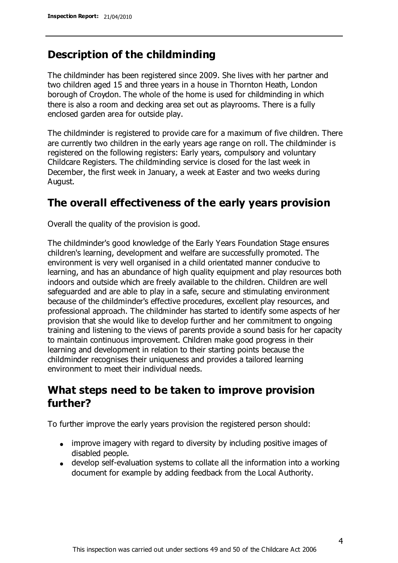## **Description of the childminding**

The childminder has been registered since 2009. She lives with her partner and two children aged 15 and three years in a house in Thornton Heath, London borough of Croydon. The whole of the home is used for childminding in which there is also a room and decking area set out as playrooms. There is a fully enclosed garden area for outside play.

The childminder is registered to provide care for a maximum of five children. There are currently two children in the early years age range on roll. The childminder is registered on the following registers: Early years, compulsory and voluntary Childcare Registers. The childminding service is closed for the last week in December, the first week in January, a week at Easter and two weeks during August.

# **The overall effectiveness of the early years provision**

Overall the quality of the provision is good.

The childminder's good knowledge of the Early Years Foundation Stage ensures children's learning, development and welfare are successfully promoted. The environment is very well organised in a child orientated manner conducive to learning, and has an abundance of high quality equipment and play resources both indoors and outside which are freely available to the children. Children are well safeguarded and are able to play in a safe, secure and stimulating environment because of the childminder's effective procedures, excellent play resources, and professional approach. The childminder has started to identify some aspects of her provision that she would like to develop further and her commitment to ongoing training and listening to the views of parents provide a sound basis for her capacity to maintain continuous improvement. Children make good progress in their learning and development in relation to their starting points because the childminder recognises their uniqueness and provides a tailored learning environment to meet their individual needs.

# **What steps need to be taken to improve provision further?**

To further improve the early years provision the registered person should:

- improve imagery with regard to diversity by including positive images of disabled people.
- develop self-evaluation systems to collate all the information into a working document for example by adding feedback from the Local Authority.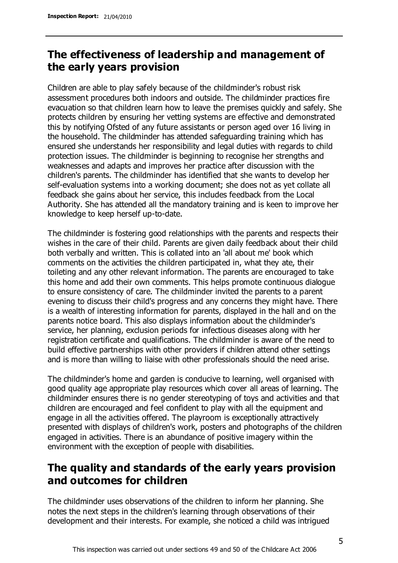# **The effectiveness of leadership and management of the early years provision**

Children are able to play safely because of the childminder's robust risk assessment procedures both indoors and outside. The childminder practices fire evacuation so that children learn how to leave the premises quickly and safely. She protects children by ensuring her vetting systems are effective and demonstrated this by notifying Ofsted of any future assistants or person aged over 16 living in the household. The childminder has attended safeguarding training which has ensured she understands her responsibility and legal duties with regards to child protection issues. The childminder is beginning to recognise her strengths and weaknesses and adapts and improves her practice after discussion with the children's parents. The childminder has identified that she wants to develop her self-evaluation systems into a working document; she does not as yet collate all feedback she gains about her service, this includes feedback from the Local Authority. She has attended all the mandatory training and is keen to improve her knowledge to keep herself up-to-date.

The childminder is fostering good relationships with the parents and respects their wishes in the care of their child. Parents are given daily feedback about their child both verbally and written. This is collated into an 'all about me' book which comments on the activities the children participated in, what they ate, their toileting and any other relevant information. The parents are encouraged to take this home and add their own comments. This helps promote continuous dialogue to ensure consistency of care. The childminder invited the parents to a parent evening to discuss their child's progress and any concerns they might have. There is a wealth of interesting information for parents, displayed in the hall and on the parents notice board. This also displays information about the childminder's service, her planning, exclusion periods for infectious diseases along with her registration certificate and qualifications. The childminder is aware of the need to build effective partnerships with other providers if children attend other settings and is more than willing to liaise with other professionals should the need arise.

The childminder's home and garden is conducive to learning, well organised with good quality age appropriate play resources which cover all areas of learning. The childminder ensures there is no gender stereotyping of toys and activities and that children are encouraged and feel confident to play with all the equipment and engage in all the activities offered. The playroom is exceptionally attractively presented with displays of children's work, posters and photographs of the children engaged in activities. There is an abundance of positive imagery within the environment with the exception of people with disabilities.

# **The quality and standards of the early years provision and outcomes for children**

The childminder uses observations of the children to inform her planning. She notes the next steps in the children's learning through observations of their development and their interests. For example, she noticed a child was intrigued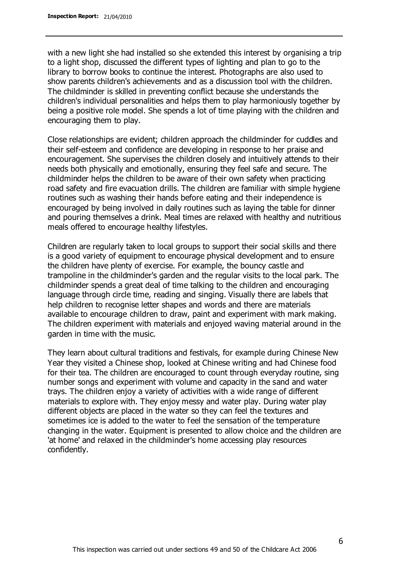with a new light she had installed so she extended this interest by organising a trip to a light shop, discussed the different types of lighting and plan to go to the library to borrow books to continue the interest. Photographs are also used to show parents children's achievements and as a discussion tool with the children. The childminder is skilled in preventing conflict because she understands the children's individual personalities and helps them to play harmoniously together by being a positive role model. She spends a lot of time playing with the children and encouraging them to play.

Close relationships are evident; children approach the childminder for cuddles and their self-esteem and confidence are developing in response to her praise and encouragement. She supervises the children closely and intuitively attends to their needs both physically and emotionally, ensuring they feel safe and secure. The childminder helps the children to be aware of their own safety when practicing road safety and fire evacuation drills. The children are familiar with simple hygiene routines such as washing their hands before eating and their independence is encouraged by being involved in daily routines such as laying the table for dinner and pouring themselves a drink. Meal times are relaxed with healthy and nutritious meals offered to encourage healthy lifestyles.

Children are regularly taken to local groups to support their social skills and there is a good variety of equipment to encourage physical development and to ensure the children have plenty of exercise. For example, the bouncy castle and trampoline in the childminder's garden and the regular visits to the local park. The childminder spends a great deal of time talking to the children and encouraging language through circle time, reading and singing. Visually there are labels that help children to recognise letter shapes and words and there are materials available to encourage children to draw, paint and experiment with mark making. The children experiment with materials and enjoyed waving material around in the garden in time with the music.

They learn about cultural traditions and festivals, for example during Chinese New Year they visited a Chinese shop, looked at Chinese writing and had Chinese food for their tea. The children are encouraged to count through everyday routine, sing number songs and experiment with volume and capacity in the sand and water trays. The children enjoy a variety of activities with a wide range of different materials to explore with. They enjoy messy and water play. During water play different objects are placed in the water so they can feel the textures and sometimes ice is added to the water to feel the sensation of the temperature changing in the water. Equipment is presented to allow choice and the children are 'at home' and relaxed in the childminder's home accessing play resources confidently.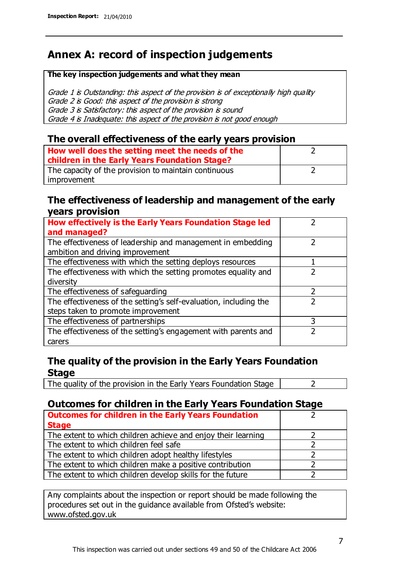# **Annex A: record of inspection judgements**

#### **The key inspection judgements and what they mean**

Grade 1 is Outstanding: this aspect of the provision is of exceptionally high quality Grade 2 is Good: this aspect of the provision is strong Grade 3 is Satisfactory: this aspect of the provision is sound Grade 4 is Inadequate: this aspect of the provision is not good enough

### **The overall effectiveness of the early years provision**

| How well does the setting meet the needs of the      |  |
|------------------------------------------------------|--|
| children in the Early Years Foundation Stage?        |  |
| The capacity of the provision to maintain continuous |  |
| improvement                                          |  |

### **The effectiveness of leadership and management of the early years provision**

| How effectively is the Early Years Foundation Stage led           |   |
|-------------------------------------------------------------------|---|
| and managed?                                                      |   |
| The effectiveness of leadership and management in embedding       |   |
| ambition and driving improvement                                  |   |
| The effectiveness with which the setting deploys resources        |   |
| The effectiveness with which the setting promotes equality and    |   |
| diversity                                                         |   |
| The effectiveness of safeguarding                                 | 2 |
| The effectiveness of the setting's self-evaluation, including the |   |
| steps taken to promote improvement                                |   |
| The effectiveness of partnerships                                 | 3 |
| The effectiveness of the setting's engagement with parents and    |   |
| carers                                                            |   |

## **The quality of the provision in the Early Years Foundation Stage**

The quality of the provision in the Early Years Foundation Stage  $\vert$  2

## **Outcomes for children in the Early Years Foundation Stage**

| <b>Outcomes for children in the Early Years Foundation</b>    |  |
|---------------------------------------------------------------|--|
| <b>Stage</b>                                                  |  |
| The extent to which children achieve and enjoy their learning |  |
| The extent to which children feel safe                        |  |
| The extent to which children adopt healthy lifestyles         |  |
| The extent to which children make a positive contribution     |  |
| The extent to which children develop skills for the future    |  |

Any complaints about the inspection or report should be made following the procedures set out in the guidance available from Ofsted's website: www.ofsted.gov.uk